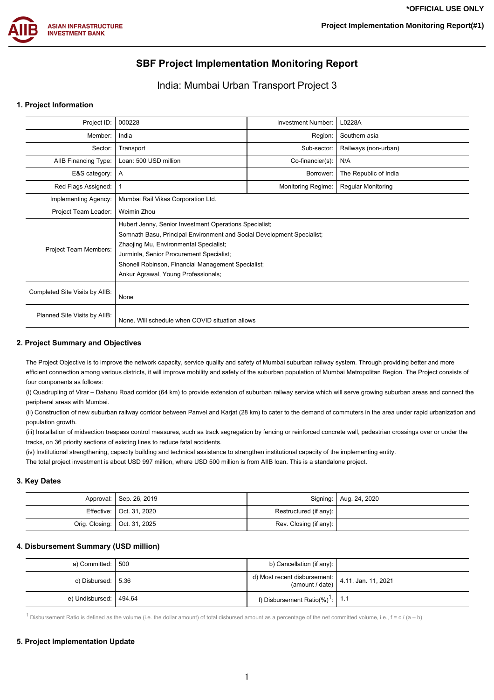

# **SBF Project Implementation Monitoring Report**

## India: Mumbai Urban Transport Project 3

#### **1. Project Information**

| Project ID:                    | 000228                                                                                                                                                                                                                                                                                                              | Investment Number:        | L0228A               |  |  |  |
|--------------------------------|---------------------------------------------------------------------------------------------------------------------------------------------------------------------------------------------------------------------------------------------------------------------------------------------------------------------|---------------------------|----------------------|--|--|--|
| Member:                        | India                                                                                                                                                                                                                                                                                                               | Region:                   | Southern asia        |  |  |  |
| Sector:                        | Transport                                                                                                                                                                                                                                                                                                           | Sub-sector:               | Railways (non-urban) |  |  |  |
| AIIB Financing Type:           | Loan: 500 USD million                                                                                                                                                                                                                                                                                               | N/A                       |                      |  |  |  |
| E&S category:                  | A                                                                                                                                                                                                                                                                                                                   | The Republic of India     |                      |  |  |  |
| Red Flags Assigned:            |                                                                                                                                                                                                                                                                                                                     | <b>Regular Monitoring</b> |                      |  |  |  |
| Implementing Agency:           | Mumbai Rail Vikas Corporation Ltd.                                                                                                                                                                                                                                                                                  |                           |                      |  |  |  |
| Project Team Leader:           | Weimin Zhou                                                                                                                                                                                                                                                                                                         |                           |                      |  |  |  |
| Project Team Members:          | Hubert Jenny, Senior Investment Operations Specialist;<br>Somnath Basu, Principal Environment and Social Development Specialist;<br>Zhaojing Mu, Environmental Specialist;<br>Jurminla, Senior Procurement Specialist;<br>Shonell Robinson, Financial Management Specialist;<br>Ankur Agrawal, Young Professionals; |                           |                      |  |  |  |
| Completed Site Visits by AIIB: | None                                                                                                                                                                                                                                                                                                                |                           |                      |  |  |  |
| Planned Site Visits by AIIB:   | None. Will schedule when COVID situation allows                                                                                                                                                                                                                                                                     |                           |                      |  |  |  |

#### **2. Project Summary and Objectives**

The Project Objective is to improve the network capacity, service quality and safety of Mumbai suburban railway system. Through providing better and more efficient connection among various districts, it will improve mobility and safety of the suburban population of Mumbai Metropolitan Region. The Project consists of four components as follows:

(i) Quadrupling of Virar – Dahanu Road corridor (64 km) to provide extension of suburban railway service which will serve growing suburban areas and connect the peripheral areas with Mumbai.

(ii) Construction of new suburban railway corridor between Panvel and Karjat (28 km) to cater to the demand of commuters in the area under rapid urbanization and population growth.

(iii) Installation of midsection trespass control measures, such as track segregation by fencing or reinforced concrete wall, pedestrian crossings over or under the tracks, on 36 priority sections of existing lines to reduce fatal accidents.

(iv) Institutional strengthening, capacity building and technical assistance to strengthen institutional capacity of the implementing entity.

The total project investment is about USD 997 million, where USD 500 million is from AIIB loan. This is a standalone project.

#### **3. Key Dates**

| Approval: Sep. 26, 2019        |                        | Signing:   Aug. 24, 2020 |
|--------------------------------|------------------------|--------------------------|
| Effective:   Oct. 31, 2020     | Restructured (if any): |                          |
| Orig. Closing:   Oct. 31, 2025 | Rev. Closing (if any): |                          |

#### **4. Disbursement Summary (USD million)**

| a) Committed:   500      | b) Cancellation (if any):                                                                                      |  |
|--------------------------|----------------------------------------------------------------------------------------------------------------|--|
| c) Disbursed:   5.36     | d) Most recent disbursement: $\begin{array}{ c c c }\n\hline\n\text{4.11, Jan. 11, 2021}\n\hline\n\end{array}$ |  |
| e) Undisbursed:   494.64 | f) Disbursement Ratio(%) <sup>1</sup> : 1.1                                                                    |  |

 $1$  Disbursement Ratio is defined as the volume (i.e. the dollar amount) of total disbursed amount as a percentage of the net committed volume, i.e.,  $f = c / (a - b)$ 

#### **5. Project Implementation Update**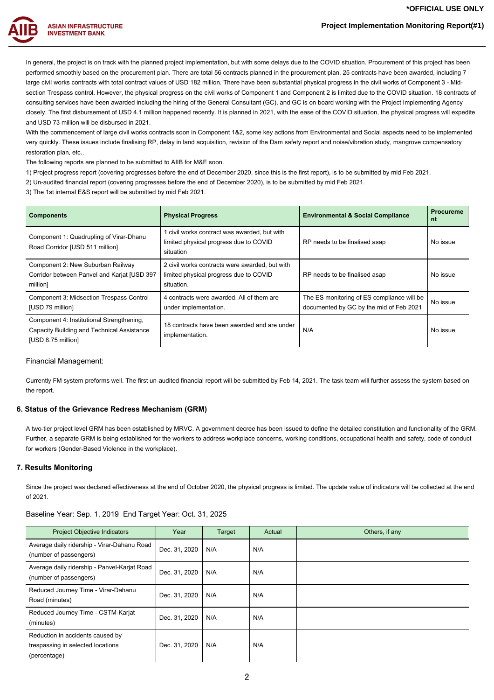## **Project Implementation Monitoring Report(#1)**



In general, the project is on track with the planned project implementation, but with some delays due to the COVID situation. Procurement of this project has been performed smoothly based on the procurement plan. There are total 56 contracts planned in the procurement plan. 25 contracts have been awarded, including 7 large civil works contracts with total contract values of USD 182 million. There have been substantial physical progress in the civil works of Component 3 - Midsection Trespass control. However, the physical progress on the civil works of Component 1 and Component 2 is limited due to the COVID situation. 18 contracts of consulting services have been awarded including the hiring of the General Consultant (GC), and GC is on board working with the Project Implementing Agency closely. The first disbursement of USD 4.1 million happened recently. It is planned in 2021, with the ease of the COVID situation, the physical progress will expedite and USD 73 million will be disbursed in 2021.

With the commencement of large civil works contracts soon in Component 1&2, some key actions from Environmental and Social aspects need to be implemented very quickly. These issues include finalising RP, delay in land acquisition, revision of the Dam safety report and noise/vibration study, mangrove compensatory restoration plan, etc.

The following reports are planned to be submitted to AIIB for M&E soon.

1) Project progress report (covering progresses before the end of December 2020, since this is the first report), is to be submitted by mid Feb 2021.

2) Un-audited financial report (covering progresses before the end of December 2020), is to be submitted by mid Feb 2021.

3) The 1st internal E&S report will be submitted by mid Feb 2021.

| <b>Components</b>                                                                                             | <b>Physical Progress</b>                                                                               | <b>Environmental &amp; Social Compliance</b>                                          | <b>Procureme</b><br>nt |
|---------------------------------------------------------------------------------------------------------------|--------------------------------------------------------------------------------------------------------|---------------------------------------------------------------------------------------|------------------------|
| Component 1: Quadrupling of Virar-Dhanu<br>Road Corridor [USD 511 million]                                    | 1 civil works contract was awarded, but with<br>limited physical progress due to COVID<br>situation    | RP needs to be finalised asap                                                         | No issue               |
| Component 2: New Suburban Railway<br>Corridor between Panvel and Karjat [USD 397<br>million]                  | 2 civil works contracts were awarded, but with<br>limited physical progress due to COVID<br>situation. | RP needs to be finalised asap                                                         | No issue               |
| Component 3: Midsection Trespass Control<br>[USD 79 million]                                                  | 4 contracts were awarded. All of them are<br>under implementation.                                     | The ES monitoring of ES compliance will be<br>documented by GC by the mid of Feb 2021 | No issue               |
| Component 4: Institutional Strengthening,<br>Capacity Building and Technical Assistance<br>[USD 8.75 million] | 18 contracts have been awarded and are under<br>implementation.                                        | N/A                                                                                   | No issue               |

#### Financial Management:

Currently FM system preforms well. The first un-audited financial report will be submitted by Feb 14, 2021. The task team will further assess the system based on the report.

#### **6. Status of the Grievance Redress Mechanism (GRM)**

A two-tier project level GRM has been established by MRVC. A government decree has been issued to define the detailed constitution and functionality of the GRM. Further, a separate GRM is being established for the workers to address workplace concerns, working conditions, occupational health and safety, code of conduct for workers (Gender-Based Violence in the workplace).

#### **7. Results Monitoring**

Since the project was declared effectiveness at the end of October 2020, the physical progress is limited. The update value of indicators will be collected at the end of 2021.

| <b>Project Objective Indicators</b>                                                   | Year          | Target | Actual | Others, if any |
|---------------------------------------------------------------------------------------|---------------|--------|--------|----------------|
| Average daily ridership - Virar-Dahanu Road<br>(number of passengers)                 | Dec. 31, 2020 | N/A    | N/A    |                |
| Average daily ridership - Panvel-Karjat Road<br>(number of passengers)                | Dec. 31, 2020 | N/A    | N/A    |                |
| Reduced Journey Time - Virar-Dahanu<br>Road (minutes)                                 | Dec. 31, 2020 | N/A    | N/A    |                |
| Reduced Journey Time - CSTM-Karjat<br>(minutes)                                       | Dec. 31, 2020 | N/A    | N/A    |                |
| Reduction in accidents caused by<br>trespassing in selected locations<br>(percentage) | Dec. 31, 2020 | N/A    | N/A    |                |

Baseline Year: Sep. 1, 2019 End Target Year: Oct. 31, 2025